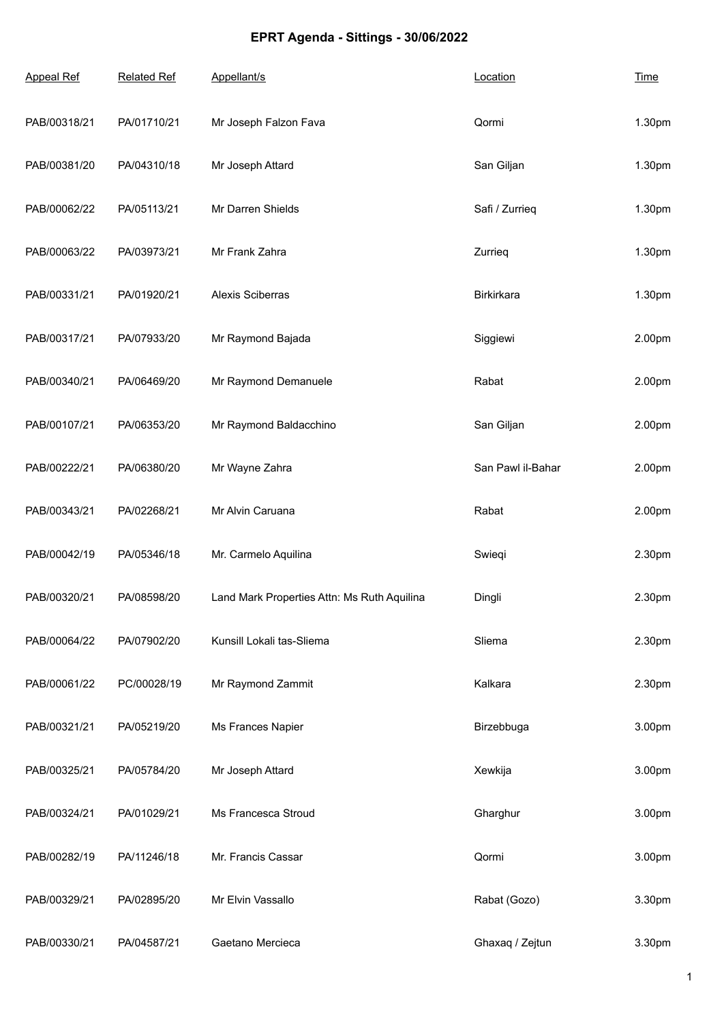## **EPRT Agenda - Sittings - 30/06/2022**

| <b>Appeal Ref</b> | <b>Related Ref</b> | Appellant/s                                 | Location          | <b>Time</b> |
|-------------------|--------------------|---------------------------------------------|-------------------|-------------|
| PAB/00318/21      | PA/01710/21        | Mr Joseph Falzon Fava                       | Qormi             | 1.30pm      |
| PAB/00381/20      | PA/04310/18        | Mr Joseph Attard                            | San Giljan        | 1.30pm      |
| PAB/00062/22      | PA/05113/21        | Mr Darren Shields                           | Safi / Zurrieq    | 1.30pm      |
| PAB/00063/22      | PA/03973/21        | Mr Frank Zahra                              | Zurrieg           | 1.30pm      |
| PAB/00331/21      | PA/01920/21        | Alexis Sciberras                            | Birkirkara        | 1.30pm      |
| PAB/00317/21      | PA/07933/20        | Mr Raymond Bajada                           | Siggiewi          | 2.00pm      |
| PAB/00340/21      | PA/06469/20        | Mr Raymond Demanuele                        | Rabat             | 2.00pm      |
| PAB/00107/21      | PA/06353/20        | Mr Raymond Baldacchino                      | San Giljan        | 2.00pm      |
| PAB/00222/21      | PA/06380/20        | Mr Wayne Zahra                              | San Pawl il-Bahar | 2.00pm      |
| PAB/00343/21      | PA/02268/21        | Mr Alvin Caruana                            | Rabat             | 2.00pm      |
| PAB/00042/19      | PA/05346/18        | Mr. Carmelo Aquilina                        | Swieqi            | 2.30pm      |
| PAB/00320/21      | PA/08598/20        | Land Mark Properties Attn: Ms Ruth Aquilina | Dingli            | 2.30pm      |
| PAB/00064/22      | PA/07902/20        | Kunsill Lokali tas-Sliema                   | Sliema            | 2.30pm      |
| PAB/00061/22      | PC/00028/19        | Mr Raymond Zammit                           | Kalkara           | 2.30pm      |
| PAB/00321/21      | PA/05219/20        | Ms Frances Napier                           | Birzebbuga        | 3.00pm      |
| PAB/00325/21      | PA/05784/20        | Mr Joseph Attard                            | Xewkija           | 3.00pm      |
| PAB/00324/21      | PA/01029/21        | Ms Francesca Stroud                         | Gharghur          | 3.00pm      |
| PAB/00282/19      | PA/11246/18        | Mr. Francis Cassar                          | Qormi             | 3.00pm      |
| PAB/00329/21      | PA/02895/20        | Mr Elvin Vassallo                           | Rabat (Gozo)      | 3.30pm      |
| PAB/00330/21      | PA/04587/21        | Gaetano Mercieca                            | Ghaxaq / Zejtun   | 3.30pm      |